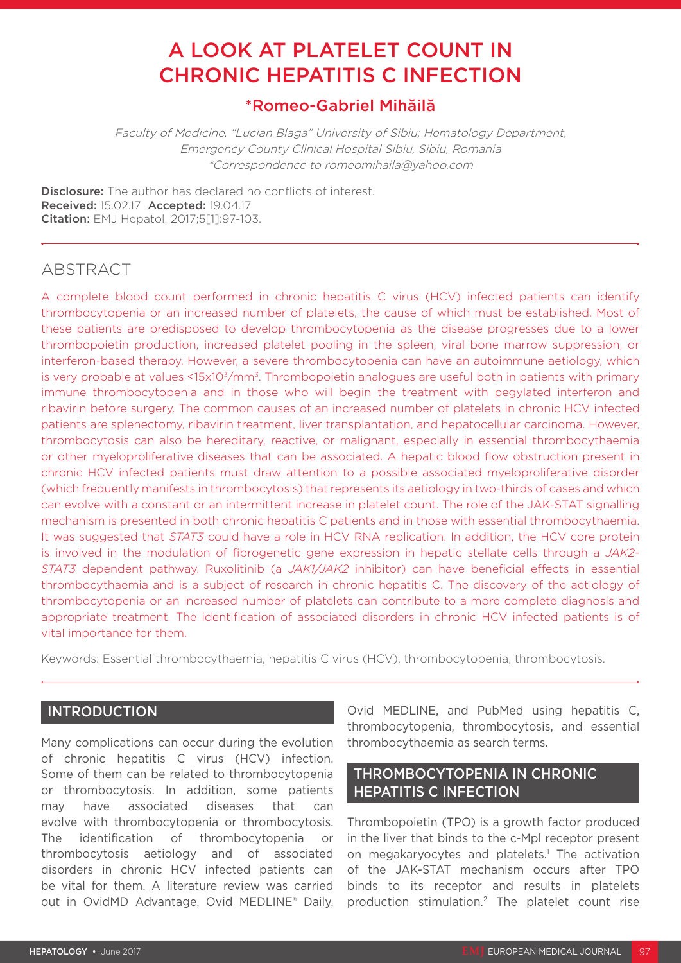# A LOOK AT PLATELET COUNT IN CHRONIC HEPATITIS C INFECTION

## \*Romeo-Gabriel Mihăilă

Faculty of Medicine, "Lucian Blaga" University of Sibiu; Hematology Department, Emergency County Clinical Hospital Sibiu, Sibiu, Romania \*Correspondence to romeomihaila@yahoo.com

**Disclosure:** The author has declared no conflicts of interest. Received: 15.02.17 Accepted: 19.04.17 Citation: EMJ Hepatol. 2017;5[1]:97-103.

## ABSTRACT

A complete blood count performed in chronic hepatitis C virus (HCV) infected patients can identify thrombocytopenia or an increased number of platelets, the cause of which must be established. Most of these patients are predisposed to develop thrombocytopenia as the disease progresses due to a lower thrombopoietin production, increased platelet pooling in the spleen, viral bone marrow suppression, or interferon-based therapy. However, a severe thrombocytopenia can have an autoimmune aetiology, which is very probable at values <15x10<sup>3</sup>/mm<sup>3</sup>. Thrombopoietin analogues are useful both in patients with primary immune thrombocytopenia and in those who will begin the treatment with pegylated interferon and ribavirin before surgery. The common causes of an increased number of platelets in chronic HCV infected patients are splenectomy, ribavirin treatment, liver transplantation, and hepatocellular carcinoma. However, thrombocytosis can also be hereditary, reactive, or malignant, especially in essential thrombocythaemia or other myeloproliferative diseases that can be associated. A hepatic blood flow obstruction present in chronic HCV infected patients must draw attention to a possible associated myeloproliferative disorder (which frequently manifests in thrombocytosis) that represents its aetiology in two-thirds of cases and which can evolve with a constant or an intermittent increase in platelet count. The role of the JAK-STAT signalling mechanism is presented in both chronic hepatitis C patients and in those with essential thrombocythaemia. It was suggested that *STAT3* could have a role in HCV RNA replication. In addition, the HCV core protein is involved in the modulation of fibrogenetic gene expression in hepatic stellate cells through a *JAK2- STAT3* dependent pathway. Ruxolitinib (a *JAK1/JAK2* inhibitor) can have beneficial effects in essential thrombocythaemia and is a subject of research in chronic hepatitis C. The discovery of the aetiology of thrombocytopenia or an increased number of platelets can contribute to a more complete diagnosis and appropriate treatment. The identification of associated disorders in chronic HCV infected patients is of vital importance for them.

Keywords: Essential thrombocythaemia, hepatitis C virus (HCV), thrombocytopenia, thrombocytosis.

#### INTRODUCTION

Many complications can occur during the evolution of chronic hepatitis C virus (HCV) infection. Some of them can be related to thrombocytopenia or thrombocytosis. In addition, some patients may have associated diseases that can evolve with thrombocytopenia or thrombocytosis. The identification of thrombocytopenia or thrombocytosis aetiology and of associated disorders in chronic HCV infected patients can be vital for them. A literature review was carried out in OvidMD Advantage, Ovid MEDLINE® Daily,

Ovid MEDLINE, and PubMed using hepatitis C, thrombocytopenia, thrombocytosis, and essential thrombocythaemia as search terms.

#### THROMBOCYTOPENIA IN CHRONIC HEPATITIS C INFECTION

Thrombopoietin (TPO) is a growth factor produced in the liver that binds to the c-Mpl receptor present on megakaryocytes and platelets.<sup>1</sup> The activation of the JAK-STAT mechanism occurs after TPO binds to its receptor and results in platelets production stimulation.2 The platelet count rise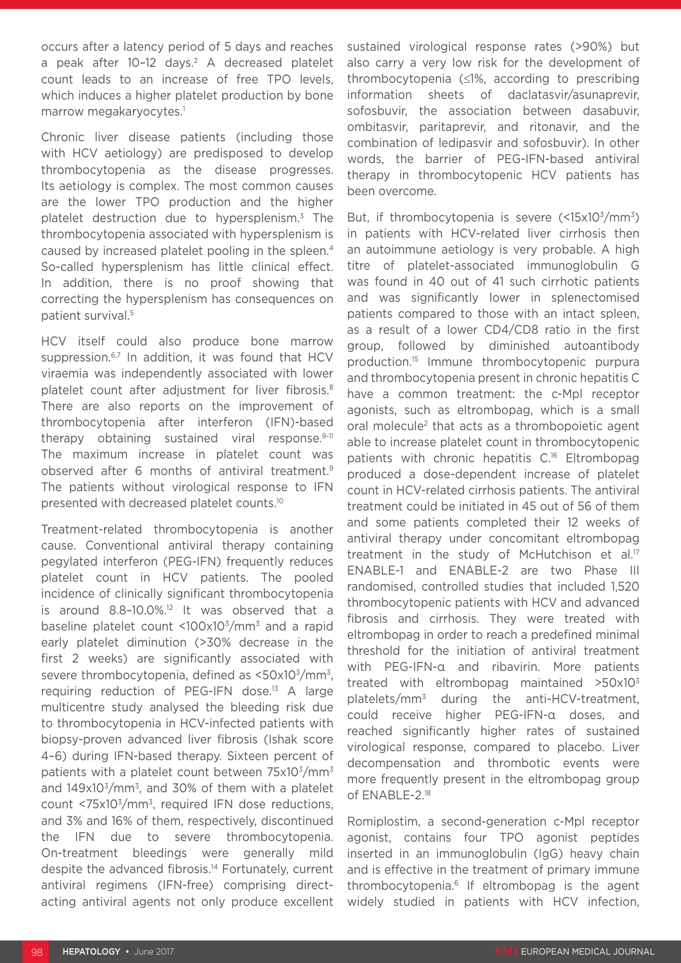occurs after a latency period of 5 days and reaches a peak after 10-12 days.<sup>2</sup> A decreased platelet count leads to an increase of free TPO levels, which induces a higher platelet production by bone marrow megakaryocytes.<sup>1</sup>

Chronic liver disease patients (including those with HCV aetiology) are predisposed to develop thrombocytopenia as the disease progresses. Its aetiology is complex. The most common causes are the lower TPO production and the higher platelet destruction due to hypersplenism.3 The thrombocytopenia associated with hypersplenism is caused by increased platelet pooling in the spleen.4 So-called hypersplenism has little clinical effect. In addition, there is no proof showing that correcting the hypersplenism has consequences on patient survival.5

HCV itself could also produce bone marrow suppression.<sup>6,7</sup> In addition, it was found that HCV viraemia was independently associated with lower platelet count after adjustment for liver fibrosis.8 There are also reports on the improvement of thrombocytopenia after interferon (IFN)-based therapy obtaining sustained viral response.9-11 The maximum increase in platelet count was observed after 6 months of antiviral treatment.9 The patients without virological response to IFN presented with decreased platelet counts.10

Treatment-related thrombocytopenia is another cause. Conventional antiviral therapy containing pegylated interferon (PEG-IFN) frequently reduces platelet count in HCV patients. The pooled incidence of clinically significant thrombocytopenia is around 8.8-10.0%.<sup>12</sup> It was observed that a baseline platelet count <100x103/mm3 and a rapid early platelet diminution (>30% decrease in the first 2 weeks) are significantly associated with severe thrombocytopenia, defined as <50x103/mm3, requiring reduction of PEG-IFN dose.<sup>13</sup> A large multicentre study analysed the bleeding risk due to thrombocytopenia in HCV-infected patients with biopsy-proven advanced liver fibrosis (Ishak score 4–6) during IFN-based therapy. Sixteen percent of patients with a platelet count between  $75x10<sup>3</sup>/mm<sup>3</sup>$ and 149x103/mm3, and 30% of them with a platelet count <75x103/mm3, required IFN dose reductions, and 3% and 16% of them, respectively, discontinued the IFN due to severe thrombocytopenia. On-treatment bleedings were generally mild despite the advanced fibrosis.14 Fortunately, current antiviral regimens (IFN-free) comprising directacting antiviral agents not only produce excellent

sustained virological response rates (>90%) but also carry a very low risk for the development of thrombocytopenia (≤1%, according to prescribing information sheets of daclatasvir/asunaprevir, sofosbuvir, the association between dasabuvir, ombitasvir, paritaprevir, and ritonavir, and the combination of ledipasvir and sofosbuvir). In other words, the barrier of PEG-IFN-based antiviral therapy in thrombocytopenic HCV patients has been overcome.

But, if thrombocytopenia is severe  $(\leq 15 \times 10^{3}/\text{mm}^{3})$ in patients with HCV-related liver cirrhosis then an autoimmune aetiology is very probable. A high titre of platelet-associated immunoglobulin G was found in 40 out of 41 such cirrhotic patients and was significantly lower in splenectomised patients compared to those with an intact spleen, as a result of a lower CD4/CD8 ratio in the first group, followed by diminished autoantibody production.15 Immune thrombocytopenic purpura and thrombocytopenia present in chronic hepatitis C have a common treatment: the c-Mpl receptor agonists, such as eltrombopag, which is a small oral molecule<sup>2</sup> that acts as a thrombopoietic agent able to increase platelet count in thrombocytopenic patients with chronic hepatitis C.16 Eltrombopag produced a dose-dependent increase of platelet count in HCV-related cirrhosis patients. The antiviral treatment could be initiated in 45 out of 56 of them and some patients completed their 12 weeks of antiviral therapy under concomitant eltrombopag treatment in the study of McHutchison et al.<sup>17</sup> ENABLE-1 and ENABLE-2 are two Phase III randomised, controlled studies that included 1,520 thrombocytopenic patients with HCV and advanced fibrosis and cirrhosis. They were treated with eltrombopag in order to reach a predefined minimal threshold for the initiation of antiviral treatment with PEG-IFN-α and ribavirin. More patients treated with eltrombopag maintained >50x103 platelets/mm3 during the anti-HCV-treatment, could receive higher PEG-IFN-α doses, and reached significantly higher rates of sustained virological response, compared to placebo. Liver decompensation and thrombotic events were more frequently present in the eltrombopag group of ENABLE-2.18

Romiplostim, a second-generation c-Mpl receptor agonist, contains four TPO agonist peptides inserted in an immunoglobulin (IgG) heavy chain and is effective in the treatment of primary immune thrombocytopenia.6 If eltrombopag is the agent widely studied in patients with HCV infection,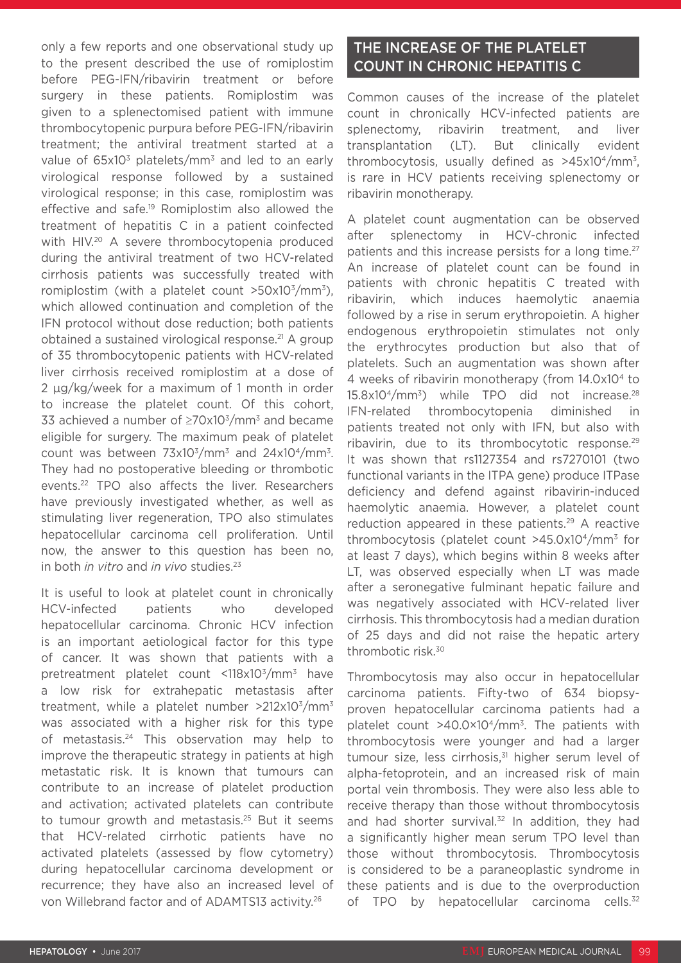only a few reports and one observational study up to the present described the use of romiplostim before PEG-IFN/ribavirin treatment or before surgery in these patients. Romiplostim was given to a splenectomised patient with immune thrombocytopenic purpura before PEG-IFN/ribavirin treatment; the antiviral treatment started at a value of 65x10<sup>3</sup> platelets/mm<sup>3</sup> and led to an early virological response followed by a sustained virological response; in this case, romiplostim was effective and safe.19 Romiplostim also allowed the treatment of hepatitis C in a patient coinfected with HIV.<sup>20</sup> A severe thrombocytopenia produced during the antiviral treatment of two HCV-related cirrhosis patients was successfully treated with romiplostim (with a platelet count  $>50x10<sup>3</sup>/mm<sup>3</sup>$ ), which allowed continuation and completion of the IFN protocol without dose reduction; both patients obtained a sustained virological response.21 A group of 35 thrombocytopenic patients with HCV-related liver cirrhosis received romiplostim at a dose of 2 μg/kg/week for a maximum of 1 month in order to increase the platelet count. Of this cohort, 33 achieved a number of  $\geq$ 70x10<sup>3</sup>/mm<sup>3</sup> and became eligible for surgery. The maximum peak of platelet count was between  $73x10^3/mm^3$  and  $24x10^4/mm^3$ . They had no postoperative bleeding or thrombotic events.22 TPO also affects the liver. Researchers have previously investigated whether, as well as stimulating liver regeneration, TPO also stimulates hepatocellular carcinoma cell proliferation. Until now, the answer to this question has been no, in both *in vitro* and *in vivo* studies.23

It is useful to look at platelet count in chronically HCV-infected patients who developed hepatocellular carcinoma. Chronic HCV infection is an important aetiological factor for this type of cancer. It was shown that patients with a pretreatment platelet count <118x103/mm3 have a low risk for extrahepatic metastasis after treatment, while a platelet number  $>212\times10^{3}/\text{mm}^{3}$ was associated with a higher risk for this type of metastasis.<sup>24</sup> This observation may help to improve the therapeutic strategy in patients at high metastatic risk. It is known that tumours can contribute to an increase of platelet production and activation; activated platelets can contribute to tumour growth and metastasis.25 But it seems that HCV-related cirrhotic patients have no activated platelets (assessed by flow cytometry) during hepatocellular carcinoma development or recurrence; they have also an increased level of von Willebrand factor and of ADAMTS13 activity.26

### THE INCREASE OF THE PLATELET COUNT IN CHRONIC HEPATITIS C

Common causes of the increase of the platelet count in chronically HCV-infected patients are splenectomy, ribavirin treatment, and liver transplantation (LT). But clinically evident thrombocytosis, usually defined as  $>45x10<sup>4</sup>/mm<sup>3</sup>$ , is rare in HCV patients receiving splenectomy or ribavirin monotherapy.

A platelet count augmentation can be observed after splenectomy in HCV-chronic infected patients and this increase persists for a long time.<sup>27</sup> An increase of platelet count can be found in patients with chronic hepatitis C treated with ribavirin, which induces haemolytic anaemia followed by a rise in serum erythropoietin. A higher endogenous erythropoietin stimulates not only the erythrocytes production but also that of platelets. Such an augmentation was shown after 4 weeks of ribavirin monotherapy (from 14.0x104 to 15.8x104/mm3) while TPO did not increase.28 IFN-related thrombocytopenia diminished in patients treated not only with IFN, but also with ribavirin, due to its thrombocytotic response.<sup>29</sup> It was shown that rs1127354 and rs7270101 (two functional variants in the ITPA gene) produce ITPase deficiency and defend against ribavirin-induced haemolytic anaemia. However, a platelet count reduction appeared in these patients.<sup>29</sup> A reactive thrombocytosis (platelet count >45.0x104/mm3 for at least 7 days), which begins within 8 weeks after LT, was observed especially when LT was made after a seronegative fulminant hepatic failure and was negatively associated with HCV-related liver cirrhosis. This thrombocytosis had a median duration of 25 days and did not raise the hepatic artery thrombotic risk.30

Thrombocytosis may also occur in hepatocellular carcinoma patients. Fifty-two of 634 biopsyproven hepatocellular carcinoma patients had a platelet count >40.0×104/mm3. The patients with thrombocytosis were younger and had a larger tumour size, less cirrhosis, $31$  higher serum level of alpha-fetoprotein, and an increased risk of main portal vein thrombosis. They were also less able to receive therapy than those without thrombocytosis and had shorter survival. $32$  In addition, they had a significantly higher mean serum TPO level than those without thrombocytosis. Thrombocytosis is considered to be a paraneoplastic syndrome in these patients and is due to the overproduction of TPO by hepatocellular carcinoma cells.<sup>32</sup>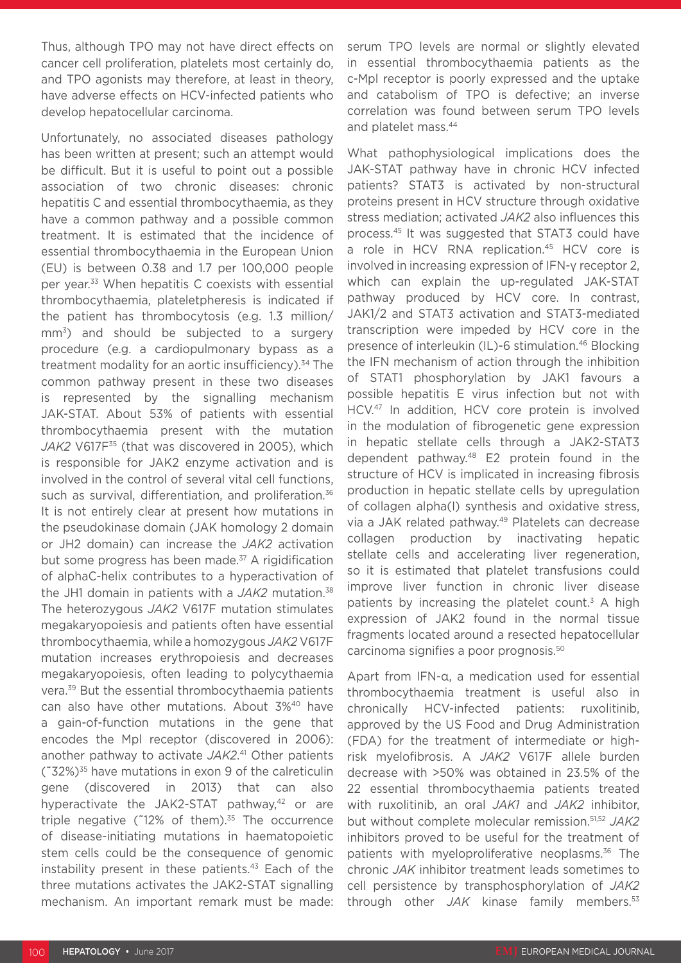Thus, although TPO may not have direct effects on cancer cell proliferation, platelets most certainly do, and TPO agonists may therefore, at least in theory, have adverse effects on HCV-infected patients who develop hepatocellular carcinoma.

Unfortunately, no associated diseases pathology has been written at present; such an attempt would be difficult. But it is useful to point out a possible association of two chronic diseases: chronic hepatitis C and essential thrombocythaemia, as they have a common pathway and a possible common treatment. It is estimated that the incidence of essential thrombocythaemia in the European Union (EU) is between 0.38 and 1.7 per 100,000 people per year.33 When hepatitis C coexists with essential thrombocythaemia, plateletpheresis is indicated if the patient has thrombocytosis (e.g. 1.3 million/ mm<sup>3</sup>) and should be subjected to a surgery procedure (e.g. a cardiopulmonary bypass as a treatment modality for an aortic insufficiency).<sup>34</sup> The common pathway present in these two diseases is represented by the signalling mechanism JAK-STAT. About 53% of patients with essential thrombocythaemia present with the mutation JAK2 V617F<sup>35</sup> (that was discovered in 2005), which is responsible for JAK2 enzyme activation and is involved in the control of several vital cell functions, such as survival, differentiation, and proliferation.<sup>36</sup> It is not entirely clear at present how mutations in the pseudokinase domain (JAK homology 2 domain or JH2 domain) can increase the *JAK2* activation but some progress has been made.<sup>37</sup> A rigidification of alphaC-helix contributes to a hyperactivation of the JH1 domain in patients with a *JAK2* mutation.38 The heterozygous *JAK2* V617F mutation stimulates megakaryopoiesis and patients often have essential thrombocythaemia, while a homozygous *JAK2* V617F mutation increases erythropoiesis and decreases megakaryopoiesis, often leading to polycythaemia vera.39 But the essential thrombocythaemia patients can also have other mutations. About 3%<sup>40</sup> have a gain-of-function mutations in the gene that encodes the Mpl receptor (discovered in 2006): another pathway to activate *JAK2*. 41 Other patients  $(732\%)^{35}$  have mutations in exon 9 of the calreticulin gene (discovered in 2013) that can also hyperactivate the JAK2-STAT pathway, $42$  or are triple negative ( $12\%$  of them).<sup>35</sup> The occurrence of disease-initiating mutations in haematopoietic stem cells could be the consequence of genomic instability present in these patients.<sup>43</sup> Each of the three mutations activates the JAK2-STAT signalling mechanism. An important remark must be made:

serum TPO levels are normal or slightly elevated in essential thrombocythaemia patients as the c-Mpl receptor is poorly expressed and the uptake and catabolism of TPO is defective; an inverse correlation was found between serum TPO levels and platelet mass.44

What pathophysiological implications does the JAK-STAT pathway have in chronic HCV infected patients? STAT3 is activated by non-structural proteins present in HCV structure through oxidative stress mediation; activated *JAK2* also influences this process.45 It was suggested that STAT3 could have a role in HCV RNA replication.<sup>45</sup> HCV core is involved in increasing expression of IFN-γ receptor 2, which can explain the up-regulated JAK-STAT pathway produced by HCV core. In contrast, JAK1/2 and STAT3 activation and STAT3-mediated transcription were impeded by HCV core in the presence of interleukin (IL)-6 stimulation.<sup>46</sup> Blocking the IFN mechanism of action through the inhibition of STAT1 phosphorylation by JAK1 favours a possible hepatitis E virus infection but not with HCV.47 In addition, HCV core protein is involved in the modulation of fibrogenetic gene expression in hepatic stellate cells through a JAK2-STAT3 dependent pathway.48 E2 protein found in the structure of HCV is implicated in increasing fibrosis production in hepatic stellate cells by upregulation of collagen alpha(I) synthesis and oxidative stress, via a JAK related pathway.49 Platelets can decrease collagen production by inactivating hepatic stellate cells and accelerating liver regeneration, so it is estimated that platelet transfusions could improve liver function in chronic liver disease patients by increasing the platelet count.<sup>3</sup> A high expression of JAK2 found in the normal tissue fragments located around a resected hepatocellular carcinoma signifies a poor prognosis.50

Apart from IFN-α, a medication used for essential thrombocythaemia treatment is useful also in chronically HCV-infected patients: ruxolitinib, approved by the US Food and Drug Administration (FDA) for the treatment of intermediate or highrisk myelofibrosis. A *JAK2* V617F allele burden decrease with >50% was obtained in 23.5% of the 22 essential thrombocythaemia patients treated with ruxolitinib, an oral *JAK1* and *JAK2* inhibitor, but without complete molecular remission.51,52 *JAK2* inhibitors proved to be useful for the treatment of patients with myeloproliferative neoplasms.<sup>36</sup> The chronic *JAK* inhibitor treatment leads sometimes to cell persistence by transphosphorylation of *JAK2* through other *JAK* kinase family members.53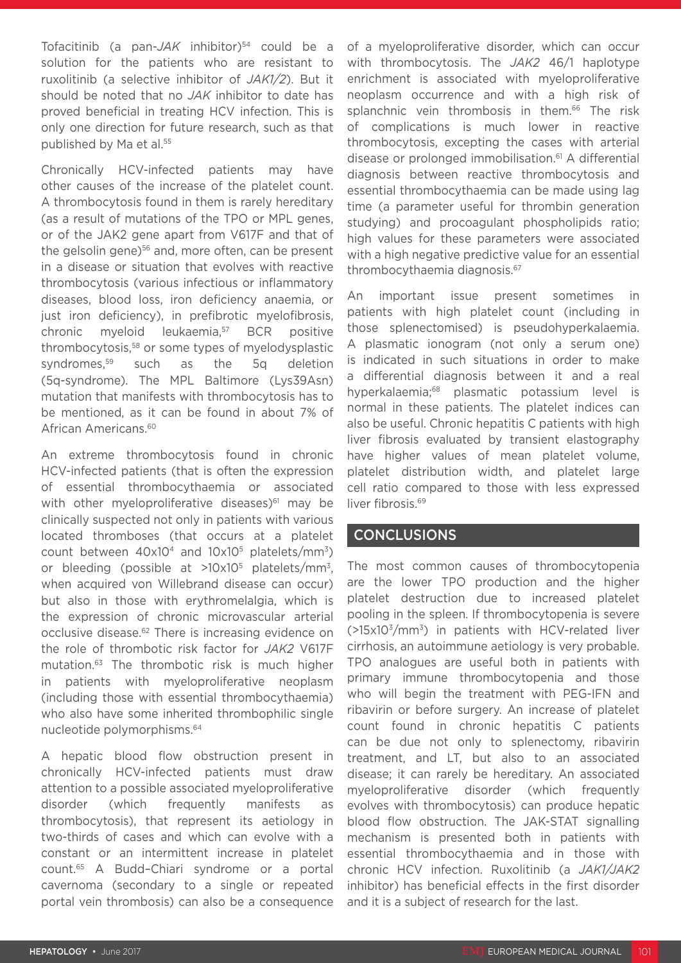Tofacitinib (a pan-JAK inhibitor)<sup>54</sup> could be a solution for the patients who are resistant to ruxolitinib (a selective inhibitor of *JAK1/2*). But it should be noted that no *JAK* inhibitor to date has proved beneficial in treating HCV infection. This is only one direction for future research, such as that published by Ma et al.<sup>55</sup>

Chronically HCV-infected patients may have other causes of the increase of the platelet count. A thrombocytosis found in them is rarely hereditary (as a result of mutations of the TPO or MPL genes, or of the JAK2 gene apart from V617F and that of the gelsolin gene)<sup>56</sup> and, more often, can be present in a disease or situation that evolves with reactive thrombocytosis (various infectious or inflammatory diseases, blood loss, iron deficiency anaemia, or just iron deficiency), in prefibrotic myelofibrosis, chronic myeloid leukaemia,<sup>57</sup> BCR positive thrombocytosis,58 or some types of myelodysplastic syndromes,<sup>59</sup> such as the 5q deletion (5q-syndrome). The MPL Baltimore (Lys39Asn) mutation that manifests with thrombocytosis has to be mentioned, as it can be found in about 7% of African Americans.<sup>60</sup>

An extreme thrombocytosis found in chronic HCV-infected patients (that is often the expression of essential thrombocythaemia or associated with other myeloproliferative diseases) $61$  may be clinically suspected not only in patients with various located thromboses (that occurs at a platelet count between  $40x10^4$  and  $10x10^5$  platelets/mm<sup>3</sup>) or bleeding (possible at  $>10x10^5$  platelets/mm<sup>3</sup>, when acquired von Willebrand disease can occur) but also in those with erythromelalgia, which is the expression of chronic microvascular arterial occlusive disease.62 There is increasing evidence on the role of thrombotic risk factor for *JAK2* V617F mutation.63 The thrombotic risk is much higher in patients with myeloproliferative neoplasm (including those with essential thrombocythaemia) who also have some inherited thrombophilic single nucleotide polymorphisms.64

A hepatic blood flow obstruction present in chronically HCV-infected patients must draw attention to a possible associated myeloproliferative disorder (which frequently manifests as thrombocytosis), that represent its aetiology in two-thirds of cases and which can evolve with a constant or an intermittent increase in platelet count.65 A Budd–Chiari syndrome or a portal cavernoma (secondary to a single or repeated portal vein thrombosis) can also be a consequence

of a myeloproliferative disorder, which can occur with thrombocytosis. The *JAK2* 46/1 haplotype enrichment is associated with myeloproliferative neoplasm occurrence and with a high risk of splanchnic vein thrombosis in them.<sup>66</sup> The risk of complications is much lower in reactive thrombocytosis, excepting the cases with arterial disease or prolonged immobilisation.61 A differential diagnosis between reactive thrombocytosis and essential thrombocythaemia can be made using lag time (a parameter useful for thrombin generation studying) and procoagulant phospholipids ratio; high values for these parameters were associated with a high negative predictive value for an essential thrombocythaemia diagnosis.67

An important issue present sometimes in patients with high platelet count (including in those splenectomised) is pseudohyperkalaemia. A plasmatic ionogram (not only a serum one) is indicated in such situations in order to make a differential diagnosis between it and a real hyperkalaemia;<sup>68</sup> plasmatic potassium level is normal in these patients. The platelet indices can also be useful. Chronic hepatitis C patients with high liver fibrosis evaluated by transient elastography have higher values of mean platelet volume, platelet distribution width, and platelet large cell ratio compared to those with less expressed liver fibrosis.<sup>69</sup>

#### CONCLUSIONS

The most common causes of thrombocytopenia are the lower TPO production and the higher platelet destruction due to increased platelet pooling in the spleen. If thrombocytopenia is severe  $($ >15x10<sup>3</sup>/mm<sup>3</sup>) in patients with HCV-related liver cirrhosis, an autoimmune aetiology is very probable. TPO analogues are useful both in patients with primary immune thrombocytopenia and those who will begin the treatment with PEG-IFN and ribavirin or before surgery. An increase of platelet count found in chronic hepatitis C patients can be due not only to splenectomy, ribavirin treatment, and LT, but also to an associated disease; it can rarely be hereditary. An associated myeloproliferative disorder (which frequently evolves with thrombocytosis) can produce hepatic blood flow obstruction. The JAK-STAT signalling mechanism is presented both in patients with essential thrombocythaemia and in those with chronic HCV infection. Ruxolitinib (a *JAK1/JAK2* inhibitor) has beneficial effects in the first disorder and it is a subject of research for the last.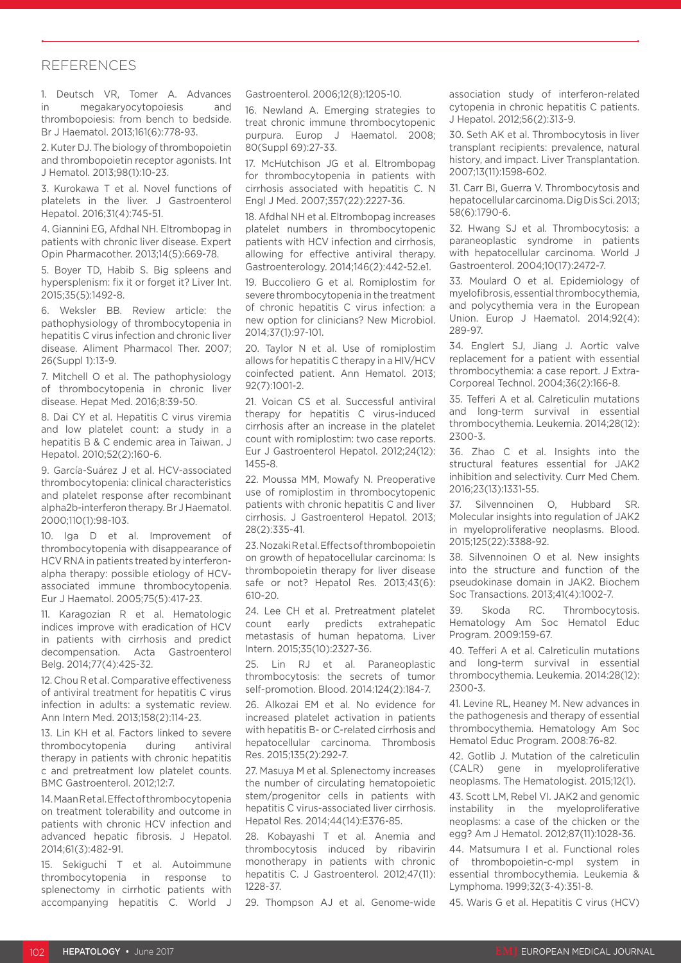#### REFERENCES

1. Deutsch VR, Tomer A. Advances in megakaryocytopoiesis and thrombopoiesis: from bench to bedside. Br J Haematol. 2013;161(6):778-93.

2. Kuter DJ. The biology of thrombopoietin and thrombopoietin receptor agonists. Int J Hematol. 2013;98(1):10-23.

3. Kurokawa T et al. Novel functions of platelets in the liver. J Gastroenterol Hepatol. 2016;31(4):745-51.

4. Giannini EG, Afdhal NH. Eltrombopag in patients with chronic liver disease. Expert Opin Pharmacother. 2013;14(5):669-78.

5. Boyer TD, Habib S. Big spleens and hypersplenism: fix it or forget it? Liver Int. 2015;35(5):1492-8.

6. Weksler BB. Review article: the pathophysiology of thrombocytopenia in hepatitis C virus infection and chronic liver disease. Aliment Pharmacol Ther. 2007; 26(Suppl 1):13-9.

7. Mitchell O et al. The pathophysiology of thrombocytopenia in chronic liver disease. Hepat Med. 2016;8:39-50.

8. Dai CY et al. Hepatitis C virus viremia and low platelet count: a study in a hepatitis B & C endemic area in Taiwan. J Hepatol. 2010;52(2):160-6.

9. García-Suárez J et al. HCV-associated thrombocytopenia: clinical characteristics and platelet response after recombinant alpha2b-interferon therapy. Br J Haematol. 2000;110(1):98-103.

10. Iga D et al. Improvement of thrombocytopenia with disappearance of HCV RNA in patients treated by interferonalpha therapy: possible etiology of HCVassociated immune thrombocytopenia. Eur J Haematol. 2005;75(5):417-23.

11. Karagozian R et al. Hematologic indices improve with eradication of HCV in patients with cirrhosis and predict decompensation. Acta Gastroenterol Belg. 2014;77(4):425-32.

12. Chou R et al. Comparative effectiveness of antiviral treatment for hepatitis C virus infection in adults: a systematic review. Ann Intern Med. 2013;158(2):114-23.

13. Lin KH et al. Factors linked to severe thrombocytopenia during antiviral therapy in patients with chronic hepatitis c and pretreatment low platelet counts. BMC Gastroenterol. 2012;12:7.

14. Maan R et al. Effect of thrombocytopenia on treatment tolerability and outcome in patients with chronic HCV infection and advanced hepatic fibrosis. J Hepatol. 2014;61(3):482-91.

15. Sekiguchi T et al. Autoimmune thrombocytopenia in response to splenectomy in cirrhotic patients with accompanying hepatitis C. World J

Gastroenterol. 2006;12(8):1205-10.

16. Newland A. Emerging strategies to treat chronic immune thrombocytopenic purpura. Europ J Haematol. 2008; 80(Suppl 69):27-33.

17. McHutchison JG et al. Eltrombopag for thrombocytopenia in patients with cirrhosis associated with hepatitis C. N Engl J Med. 2007;357(22):2227-36.

18. Afdhal NH et al. Eltrombopag increases platelet numbers in thrombocytopenic patients with HCV infection and cirrhosis, allowing for effective antiviral therapy. Gastroenterology. 2014;146(2):442-52.e1.

19. Buccoliero G et al. Romiplostim for severe thrombocytopenia in the treatment of chronic hepatitis C virus infection: a new option for clinicians? New Microbiol. 2014;37(1):97-101.

20. Taylor N et al. Use of romiplostim allows for hepatitis C therapy in a HIV/HCV coinfected patient. Ann Hematol. 2013; 92(7):1001-2.

21. Voican CS et al. Successful antiviral therapy for hepatitis C virus-induced cirrhosis after an increase in the platelet count with romiplostim: two case reports. Eur J Gastroenterol Hepatol. 2012;24(12): 1455-8.

22. Moussa MM, Mowafy N. Preoperative use of romiplostim in thrombocytopenic patients with chronic hepatitis C and liver cirrhosis. J Gastroenterol Hepatol. 2013; 28(2):335-41.

23. Nozaki R et al. Effects of thrombopoietin on growth of hepatocellular carcinoma: Is thrombopoietin therapy for liver disease safe or not? Hepatol Res. 2013;43(6): 610-20.

24. Lee CH et al. Pretreatment platelet count early predicts extrahepatic metastasis of human hepatoma. Liver Intern. 2015;35(10):2327-36.

25. Lin RJ et al. Paraneoplastic thrombocytosis: the secrets of tumor self-promotion. Blood. 2014:124(2):184-7.

26. Alkozai EM et al. No evidence for increased platelet activation in patients with hepatitis B- or C-related cirrhosis and hepatocellular carcinoma. Thrombosis Res. 2015;135(2):292-7.

27. Masuya M et al. Splenectomy increases the number of circulating hematopoietic stem/progenitor cells in patients with hepatitis C virus-associated liver cirrhosis. Hepatol Res. 2014;44(14):E376-85.

28. Kobayashi T et al. Anemia and thrombocytosis induced by ribavirin monotherapy in patients with chronic hepatitis C. J Gastroenterol. 2012;47(11): 1228-37.

29. Thompson AJ et al. Genome-wide

association study of interferon-related cytopenia in chronic hepatitis C patients. J Hepatol. 2012;56(2):313-9.

30. Seth AK et al. Thrombocytosis in liver transplant recipients: prevalence, natural history, and impact. Liver Transplantation. 2007;13(11):1598-602.

31. Carr BI, Guerra V. Thrombocytosis and hepatocellular carcinoma. Dig Dis Sci. 2013; 58(6):1790-6.

32. Hwang SJ et al. Thrombocytosis: a paraneoplastic syndrome in patients with hepatocellular carcinoma. World J Gastroenterol. 2004;10(17):2472-7.

33. Moulard O et al. Epidemiology of myelofibrosis, essential thrombocythemia, and polycythemia vera in the European Union. Europ J Haematol. 2014;92(4): 289-97.

34. Englert SJ, Jiang J. Aortic valve replacement for a patient with essential thrombocythemia: a case report. J Extra-Corporeal Technol. 2004;36(2):166-8.

35. Tefferi A et al. Calreticulin mutations and long-term survival in essential thrombocythemia. Leukemia. 2014;28(12): 2300-3.

36. Zhao C et al. Insights into the structural features essential for JAK2 inhibition and selectivity. Curr Med Chem. 2016;23(13):1331-55.

37. Silvennoinen O, Hubbard SR. Molecular insights into regulation of JAK2 in myeloproliferative neoplasms. Blood. 2015;125(22):3388-92.

38. Silvennoinen O et al. New insights into the structure and function of the pseudokinase domain in JAK2. Biochem Soc Transactions. 2013;41(4):1002-7.

39. Skoda RC. Thrombocytosis. Hematology Am Soc Hematol Educ Program. 2009:159-67.

40. Tefferi A et al. Calreticulin mutations and long-term survival in essential thrombocythemia. Leukemia. 2014:28(12): 2300-3.

41. Levine RL, Heaney M. New advances in the pathogenesis and therapy of essential thrombocythemia. Hematology Am Soc Hematol Educ Program. 2008:76-82.

42. Gotlib J. Mutation of the calreticulin (CALR) gene in myeloproliferative neoplasms. The Hematologist. 2015;12(1).

43. Scott LM, Rebel VI. JAK2 and genomic instability in the myeloproliferative neoplasms: a case of the chicken or the egg? Am J Hematol. 2012;87(11):1028-36.

44. Matsumura I et al. Functional roles of thrombopoietin-c-mpl system in essential thrombocythemia. Leukemia & Lymphoma. 1999;32(3-4):351-8.

45. Waris G et al. Hepatitis C virus (HCV)